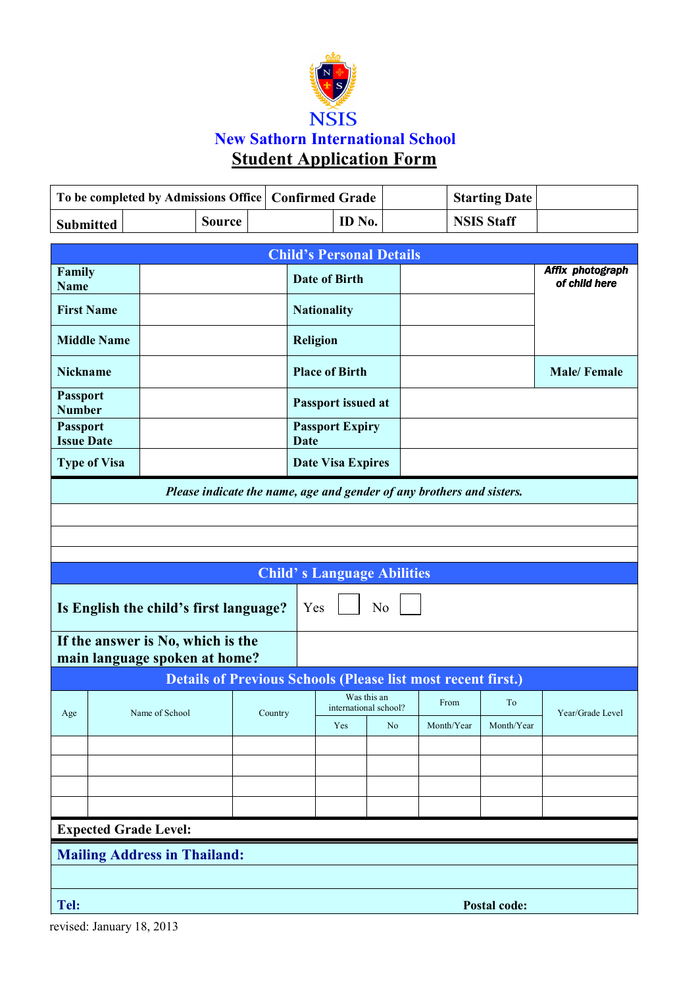

|                                                                       |                   | To be completed by Admissions Office   Confirmed Grade |                       |                        |                                      |                |                    | <b>Starting Date</b> |                                   |  |  |  |  |  |
|-----------------------------------------------------------------------|-------------------|--------------------------------------------------------|-----------------------|------------------------|--------------------------------------|----------------|--------------------|----------------------|-----------------------------------|--|--|--|--|--|
| <b>Submitted</b>                                                      |                   | <b>Source</b>                                          |                       |                        | ID No.                               |                |                    | <b>NSIS Staff</b>    |                                   |  |  |  |  |  |
| <b>Child's Personal Details</b>                                       |                   |                                                        |                       |                        |                                      |                |                    |                      |                                   |  |  |  |  |  |
| Family<br><b>Name</b>                                                 |                   |                                                        |                       |                        | <b>Date of Birth</b>                 |                |                    |                      | Affix photograph<br>of child here |  |  |  |  |  |
|                                                                       | <b>First Name</b> |                                                        |                       | <b>Nationality</b>     |                                      |                |                    |                      |                                   |  |  |  |  |  |
| <b>Middle Name</b>                                                    |                   |                                                        |                       | <b>Religion</b>        |                                      |                |                    |                      |                                   |  |  |  |  |  |
| <b>Nickname</b>                                                       |                   |                                                        | <b>Place of Birth</b> |                        |                                      |                | <b>Male/Female</b> |                      |                                   |  |  |  |  |  |
| <b>Passport</b><br><b>Number</b>                                      |                   |                                                        |                       |                        | Passport issued at                   |                |                    |                      |                                   |  |  |  |  |  |
| <b>Passport</b>                                                       | <b>Issue Date</b> |                                                        | <b>Date</b>           | <b>Passport Expiry</b> |                                      |                |                    |                      |                                   |  |  |  |  |  |
| <b>Type of Visa</b>                                                   |                   |                                                        |                       |                        | <b>Date Visa Expires</b>             |                |                    |                      |                                   |  |  |  |  |  |
| Please indicate the name, age and gender of any brothers and sisters. |                   |                                                        |                       |                        |                                      |                |                    |                      |                                   |  |  |  |  |  |
|                                                                       |                   |                                                        |                       |                        |                                      |                |                    |                      |                                   |  |  |  |  |  |
|                                                                       |                   |                                                        |                       |                        |                                      |                |                    |                      |                                   |  |  |  |  |  |
| <b>Child's Language Abilities</b>                                     |                   |                                                        |                       |                        |                                      |                |                    |                      |                                   |  |  |  |  |  |
| N <sub>0</sub><br>Is English the child's first language?<br>Yes       |                   |                                                        |                       |                        |                                      |                |                    |                      |                                   |  |  |  |  |  |
| If the answer is No, which is the<br>main language spoken at home?    |                   |                                                        |                       |                        |                                      |                |                    |                      |                                   |  |  |  |  |  |
| <b>Details of Previous Schools (Please list most recent first.)</b>   |                   |                                                        |                       |                        |                                      |                |                    |                      |                                   |  |  |  |  |  |
| Age                                                                   |                   | Name of School                                         |                       | Country                | Was this an<br>international school? |                | From               | To                   | Year/Grade Level                  |  |  |  |  |  |
|                                                                       |                   |                                                        |                       |                        | Yes                                  | N <sub>o</sub> | Month/Year         | Month/Year           |                                   |  |  |  |  |  |
|                                                                       |                   |                                                        |                       |                        |                                      |                |                    |                      |                                   |  |  |  |  |  |
|                                                                       |                   |                                                        |                       |                        |                                      |                |                    |                      |                                   |  |  |  |  |  |
|                                                                       |                   |                                                        |                       |                        |                                      |                |                    |                      |                                   |  |  |  |  |  |
| <b>Expected Grade Level:</b>                                          |                   |                                                        |                       |                        |                                      |                |                    |                      |                                   |  |  |  |  |  |
| <b>Mailing Address in Thailand:</b>                                   |                   |                                                        |                       |                        |                                      |                |                    |                      |                                   |  |  |  |  |  |
| Tel:<br>Postal code:                                                  |                   |                                                        |                       |                        |                                      |                |                    |                      |                                   |  |  |  |  |  |

revised: January 18, 2013